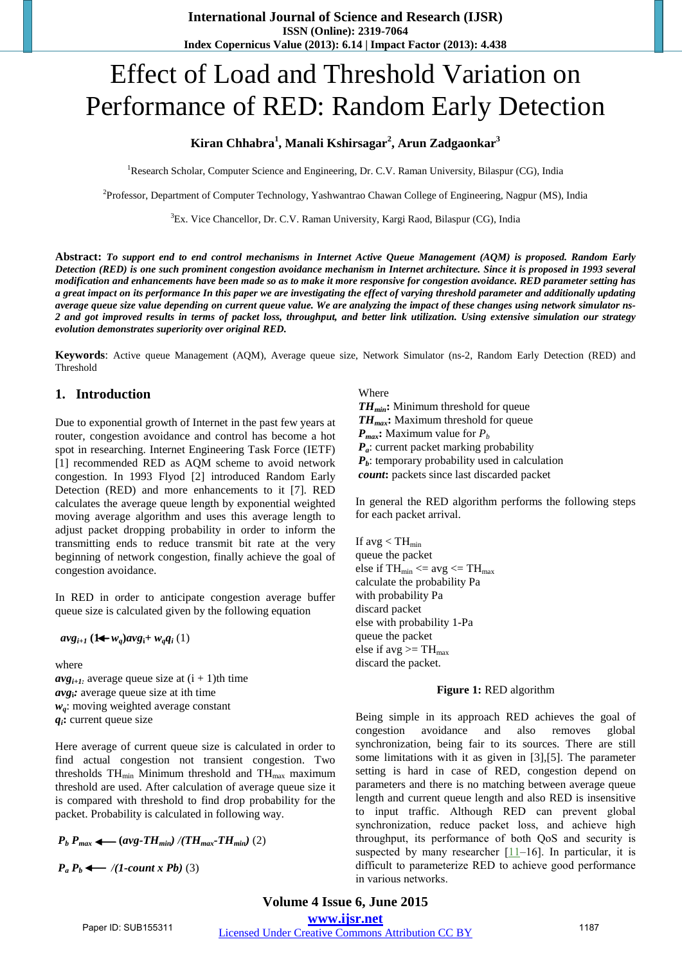# Effect of Load and Threshold Variation on Performance of RED: Random Early Detection

## **Kiran Chhabra<sup>1</sup> , Manali Kshirsagar<sup>2</sup> , Arun Zadgaonkar<sup>3</sup>**

<sup>1</sup>Research Scholar, Computer Science and Engineering, Dr. C.V. Raman University, Bilaspur (CG), India

2 Professor, Department of Computer Technology, Yashwantrao Chawan College of Engineering, Nagpur (MS), India

<sup>3</sup>Ex. Vice Chancellor, Dr. C.V. Raman University, Kargi Raod, Bilaspur (CG), India

**Abstract:** *To support end to end control mechanisms in Internet Active Queue Management (AQM) is proposed. Random Early Detection (RED) is one such prominent congestion avoidance mechanism in Internet architecture. Since it is proposed in 1993 several modification and enhancements have been made so as to make it more responsive for congestion avoidance. RED parameter setting has a great impact on its performance In this paper we are investigating the effect of varying threshold parameter and additionally updating average queue size value depending on current queue value. We are analyzing the impact of these changes using network simulator ns-2 and got improved results in terms of packet loss, throughput, and better link utilization. Using extensive simulation our strategy evolution demonstrates superiority over original RED.*

**Keywords**: Active queue Management (AQM), Average queue size, Network Simulator (ns-2, Random Early Detection (RED) and Threshold

#### **1. Introduction**

Due to exponential growth of Internet in the past few years at router, congestion avoidance and control has become a hot spot in researching. Internet Engineering Task Force (IETF) [1] recommended RED as AQM scheme to avoid network congestion. In 1993 Flyod [2] introduced Random Early Detection (RED) and more enhancements to it [7]. RED calculates the average queue length by exponential weighted moving average algorithm and uses this average length to adjust packet dropping probability in order to inform the transmitting ends to reduce transmit bit rate at the very beginning of network congestion, finally achieve the goal of congestion avoidance.

In RED in order to anticipate congestion average buffer queue size is calculated given by the following equation

 $avg_{i+1}$   $(1 + w_a)avg_i + w_aq_i$   $(1)$ 

where

 $avg_{i+1}$  average queue size at  $(i + 1)$ th time *avg***i***:* average queue size at ith time *wq*: moving weighted average constant  $q_i$ **:** current queue size

Here average of current queue size is calculated in order to find actual congestion not transient congestion. Two thresholds  $TH_{min}$  Minimum threshold and  $TH_{max}$  maximum threshold are used. After calculation of average queue size it is compared with threshold to find drop probability for the packet. Probability is calculated in following way.

$$
P_b P_{max} \leftarrow (avg\text{-}TH_{min}) / (TH_{max}\text{-}TH_{min}) (2)
$$

 $P_a P_b \leftarrow \textit{/(1-count x Pb)} (3)$ 

Where

*THmin***:** Minimum threshold for queue *THmax***:** Maximum threshold for queue  $P_{max}$ : Maximum value for  $P_b$ *P<sub>a</sub>*: current packet marking probability  $P_b$ : temporary probability used in calculation  *count***:** packets since last discarded packet

In general the RED algorithm performs the following steps for each packet arrival.

If avg  $<$  TH<sub>min</sub> queue the packet else if  $TH_{min} \leq avg \leq TH_{max}$ calculate the probability Pa with probability Pa discard packet else with probability 1-Pa queue the packet else if avg  $>= TH_{max}$ discard the packet.

#### **Figure 1:** RED algorithm

Being simple in its approach RED achieves the goal of congestion avoidance and also removes global synchronization, being fair to its sources. There are still some limitations with it as given in [3],[5]. The parameter setting is hard in case of RED, congestion depend on parameters and there is no matching between average queue length and current queue length and also RED is insensitive to input traffic. Although RED can prevent global synchronization, reduce packet loss, and achieve high throughput, its performance of both QoS and security is suspected by many researcher  $[11-16]$  $[11-16]$ . In particular, it is difficult to parameterize RED to achieve good performance in various networks.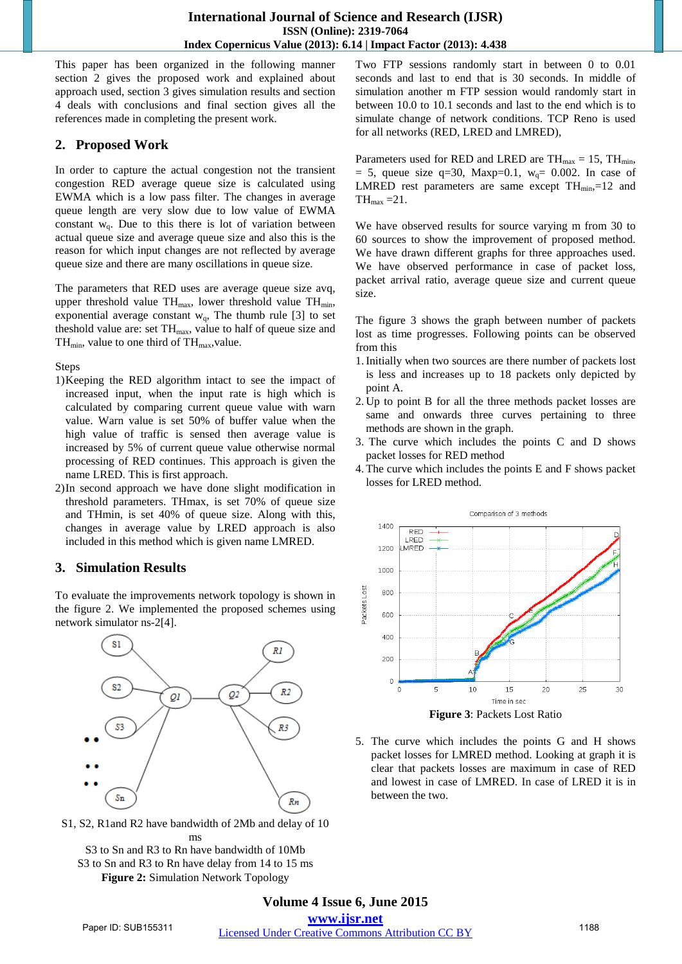This paper has been organized in the following manner section 2 gives the proposed work and explained about approach used, section 3 gives simulation results and section 4 deals with conclusions and final section gives all the references made in completing the present work.

## **2. Proposed Work**

In order to capture the actual congestion not the transient congestion RED average queue size is calculated using EWMA which is a low pass filter. The changes in average queue length are very slow due to low value of EWMA constant  $w_q$ . Due to this there is lot of variation between actual queue size and average queue size and also this is the reason for which input changes are not reflected by average queue size and there are many oscillations in queue size.

The parameters that RED uses are average queue size avq, upper threshold value  $TH_{max}$ , lower threshold value  $TH_{min}$ , exponential average constant  $w_q$ , The thumb rule [3] to set theshold value are: set  $TH<sub>max</sub>$ , value to half of queue size and  $TH_{min}$ , value to one third of  $TH_{max}$ , value.

Steps

- 1)Keeping the RED algorithm intact to see the impact of increased input, when the input rate is high which is calculated by comparing current queue value with warn value. Warn value is set 50% of buffer value when the high value of traffic is sensed then average value is increased by 5% of current queue value otherwise normal processing of RED continues. This approach is given the name LRED. This is first approach.
- 2)In second approach we have done slight modification in threshold parameters. THmax, is set 70% of queue size and THmin, is set 40% of queue size. Along with this, changes in average value by LRED approach is also included in this method which is given name LMRED.

# **3. Simulation Results**

To evaluate the improvements network topology is shown in the figure 2. We implemented the proposed schemes using network simulator ns-2[4].



S1, S2, R1and R2 have bandwidth of 2Mb and delay of 10 ms

S3 to Sn and R3 to Rn have bandwidth of 10Mb S3 to Sn and R3 to Rn have delay from 14 to 15 ms **Figure 2:** Simulation Network Topology

Two FTP sessions randomly start in between 0 to 0.01 seconds and last to end that is 30 seconds. In middle of simulation another m FTP session would randomly start in between 10.0 to 10.1 seconds and last to the end which is to simulate change of network conditions. TCP Reno is used for all networks (RED, LRED and LMRED),

Parameters used for RED and LRED are  $TH_{max} = 15$ ,  $TH_{min}$ ,  $= 5$ , queue size q=30, Maxp=0.1, w<sub>q</sub>= 0.002. In case of LMRED rest parameters are same except  $TH_{min}$ ,=12 and  $TH_{\text{max}} = 21$ .

We have observed results for source varying m from 30 to 60 sources to show the improvement of proposed method. We have drawn different graphs for three approaches used. We have observed performance in case of packet loss, packet arrival ratio, average queue size and current queue size.

The figure 3 shows the graph between number of packets lost as time progresses. Following points can be observed from this

- 1.Initially when two sources are there number of packets lost is less and increases up to 18 packets only depicted by point A.
- 2. Up to point B for all the three methods packet losses are same and onwards three curves pertaining to three methods are shown in the graph.
- 3. The curve which includes the points C and D shows packet losses for RED method
- 4.The curve which includes the points E and F shows packet losses for LRED method.



5. The curve which includes the points G and H shows packet losses for LMRED method. Looking at graph it is clear that packets losses are maximum in case of RED and lowest in case of LMRED. In case of LRED it is in between the two.

## **Volume 4 Issue 6, June 2015 www.ijsr.net** Paper ID: SUB155311 Licensed Under Creative Commons Attribution CC BY 1188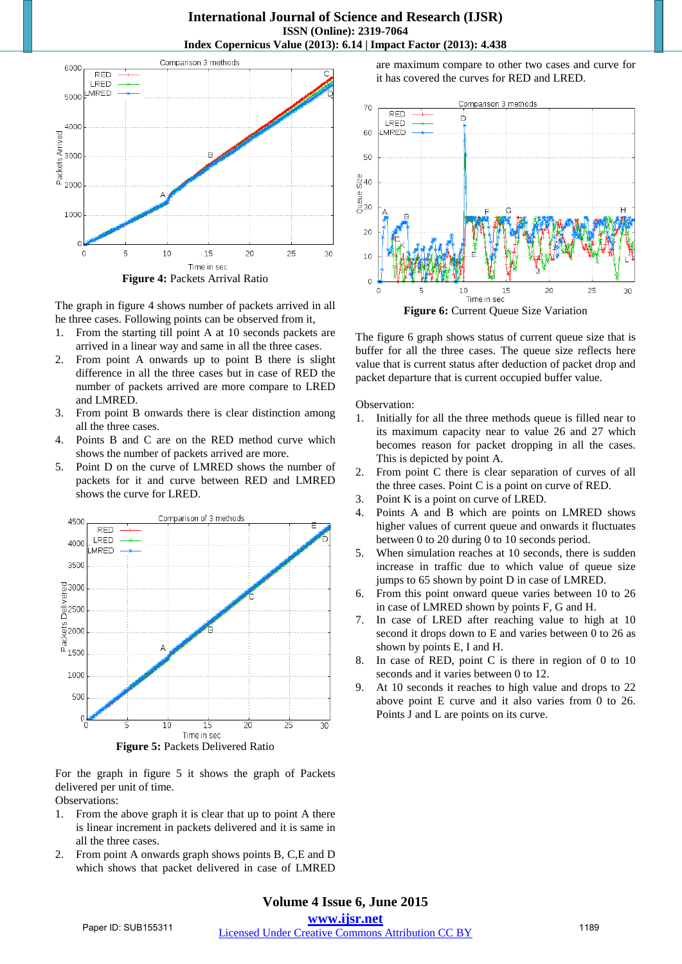#### **International Journal of Science and Research (IJSR) ISSN (Online): 2319-7064 Index Copernicus Value (2013): 6.14 | Impact Factor (2013): 4.438**



The graph in figure 4 shows number of packets arrived in all he three cases. Following points can be observed from it,

- 1. From the starting till point A at 10 seconds packets are arrived in a linear way and same in all the three cases.
- 2. From point A onwards up to point B there is slight difference in all the three cases but in case of RED the number of packets arrived are more compare to LRED and LMRED.
- 3. From point B onwards there is clear distinction among all the three cases.
- 4. Points B and C are on the RED method curve which shows the number of packets arrived are more.
- 5. Point D on the curve of LMRED shows the number of packets for it and curve between RED and LMRED shows the curve for LRED.



For the graph in figure 5 it shows the graph of Packets delivered per unit of time.

Observations:

- 1. From the above graph it is clear that up to point A there is linear increment in packets delivered and it is same in all the three cases.
- 2. From point A onwards graph shows points B, C,E and D which shows that packet delivered in case of LMRED

are maximum compare to other two cases and curve for it has covered the curves for RED and LRED.



The figure 6 graph shows status of current queue size that is buffer for all the three cases. The queue size reflects here value that is current status after deduction of packet drop and packet departure that is current occupied buffer value.

Observation:

- 1. Initially for all the three methods queue is filled near to its maximum capacity near to value 26 and 27 which becomes reason for packet dropping in all the cases. This is depicted by point A.
- 2. From point C there is clear separation of curves of all the three cases. Point C is a point on curve of RED.
- 3. Point K is a point on curve of LRED.
- 4. Points A and B which are points on LMRED shows higher values of current queue and onwards it fluctuates between 0 to 20 during 0 to 10 seconds period.
- 5. When simulation reaches at 10 seconds, there is sudden increase in traffic due to which value of queue size jumps to 65 shown by point D in case of LMRED.
- 6. From this point onward queue varies between 10 to 26 in case of LMRED shown by points F, G and H.
- 7. In case of LRED after reaching value to high at 10 second it drops down to E and varies between 0 to 26 as shown by points E, I and H.
- 8. In case of RED, point C is there in region of 0 to 10 seconds and it varies between 0 to 12.
- 9. At 10 seconds it reaches to high value and drops to 22 above point E curve and it also varies from 0 to 26. Points J and L are points on its curve.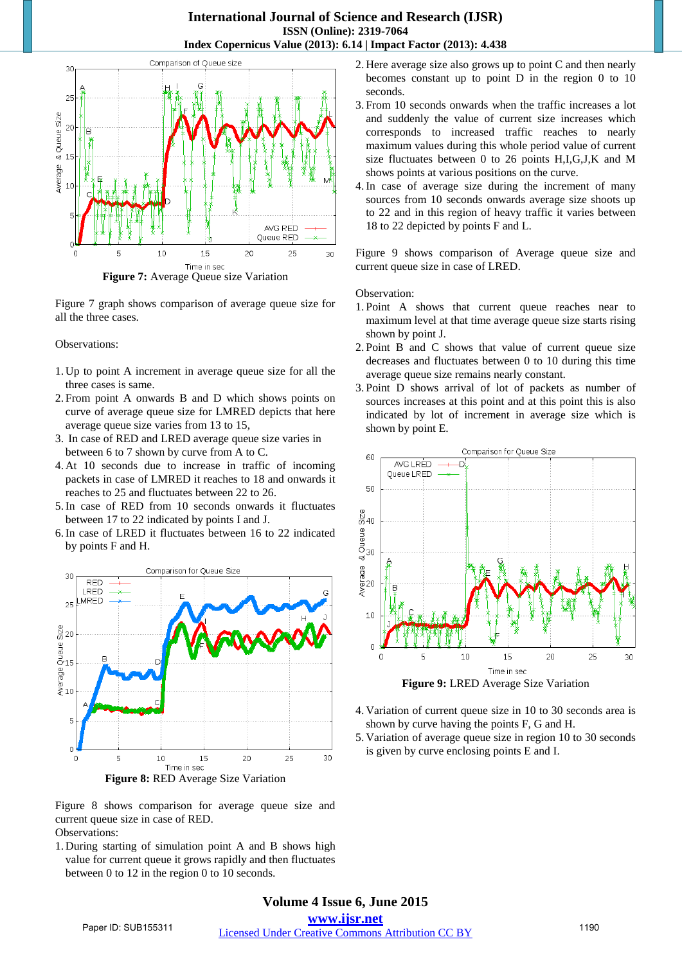### **International Journal of Science and Research (IJSR) ISSN (Online): 2319-7064 Index Copernicus Value (2013): 6.14 | Impact Factor (2013): 4.438**



**Figure 7:** Average Queue size Variation

Figure 7 graph shows comparison of average queue size for all the three cases.

Observations:

- 1. Up to point A increment in average queue size for all the three cases is same.
- 2. From point A onwards B and D which shows points on curve of average queue size for LMRED depicts that here average queue size varies from 13 to 15,
- 3. In case of RED and LRED average queue size varies in between 6 to 7 shown by curve from A to C.
- 4. At 10 seconds due to increase in traffic of incoming packets in case of LMRED it reaches to 18 and onwards it reaches to 25 and fluctuates between 22 to 26.
- 5.In case of RED from 10 seconds onwards it fluctuates between 17 to 22 indicated by points I and J.
- 6.In case of LRED it fluctuates between 16 to 22 indicated by points F and H.





Figure 8 shows comparison for average queue size and current queue size in case of RED. Observations:

1. During starting of simulation point A and B shows high value for current queue it grows rapidly and then fluctuates between 0 to 12 in the region 0 to 10 seconds.

- 2. Here average size also grows up to point C and then nearly becomes constant up to point D in the region 0 to 10 seconds.
- 3. From 10 seconds onwards when the traffic increases a lot and suddenly the value of current size increases which corresponds to increased traffic reaches to nearly maximum values during this whole period value of current size fluctuates between 0 to 26 points H,I,G,J,K and M shows points at various positions on the curve.
- 4.In case of average size during the increment of many sources from 10 seconds onwards average size shoots up to 22 and in this region of heavy traffic it varies between 18 to 22 depicted by points F and L.

Figure 9 shows comparison of Average queue size and current queue size in case of LRED.

Observation:

- 1. Point A shows that current queue reaches near to maximum level at that time average queue size starts rising shown by point J.
- 2. Point B and C shows that value of current queue size decreases and fluctuates between 0 to 10 during this time average queue size remains nearly constant.
- 3. Point D shows arrival of lot of packets as number of sources increases at this point and at this point this is also indicated by lot of increment in average size which is shown by point E.



- 4. Variation of current queue size in 10 to 30 seconds area is shown by curve having the points F, G and H.
- 5. Variation of average queue size in region 10 to 30 seconds is given by curve enclosing points E and I.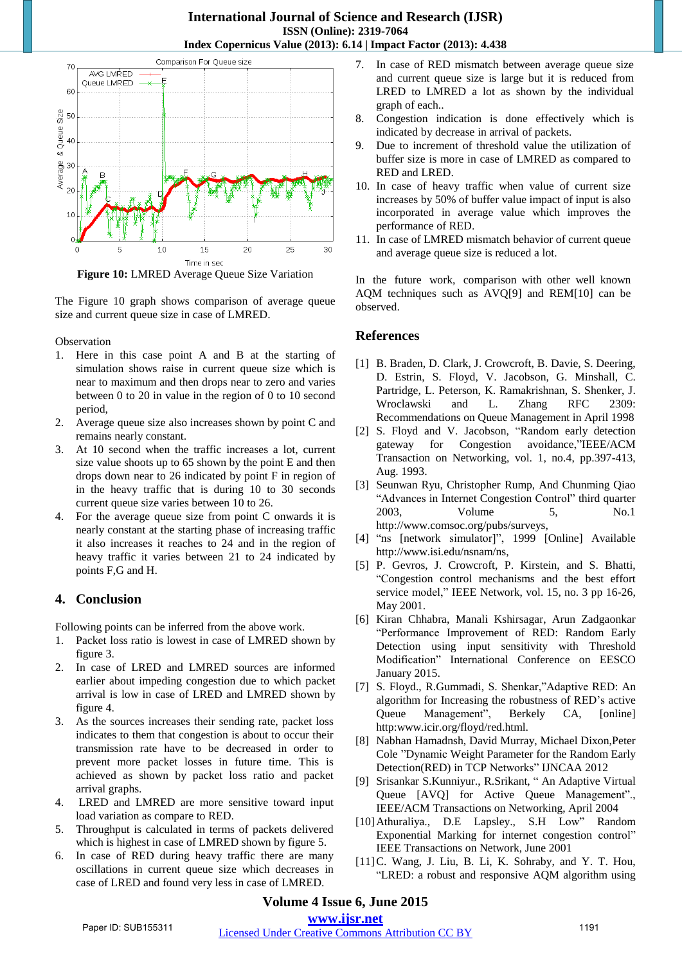

**Figure 10:** LMRED Average Queue Size Variation

The Figure 10 graph shows comparison of average queue size and current queue size in case of LMRED.

**Observation** 

- 1. Here in this case point A and B at the starting of simulation shows raise in current queue size which is near to maximum and then drops near to zero and varies between 0 to 20 in value in the region of 0 to 10 second period,
- 2. Average queue size also increases shown by point C and remains nearly constant.
- 3. At 10 second when the traffic increases a lot, current size value shoots up to 65 shown by the point E and then drops down near to 26 indicated by point F in region of in the heavy traffic that is during 10 to 30 seconds current queue size varies between 10 to 26.
- 4. For the average queue size from point C onwards it is nearly constant at the starting phase of increasing traffic it also increases it reaches to 24 and in the region of heavy traffic it varies between 21 to 24 indicated by points F,G and H.

# **4. Conclusion**

Following points can be inferred from the above work.

- 1. Packet loss ratio is lowest in case of LMRED shown by figure 3.
- 2. In case of LRED and LMRED sources are informed earlier about impeding congestion due to which packet arrival is low in case of LRED and LMRED shown by figure 4.
- 3. As the sources increases their sending rate, packet loss indicates to them that congestion is about to occur their transmission rate have to be decreased in order to prevent more packet losses in future time. This is achieved as shown by packet loss ratio and packet arrival graphs.
- 4. LRED and LMRED are more sensitive toward input load variation as compare to RED.
- 5. Throughput is calculated in terms of packets delivered which is highest in case of LMRED shown by figure 5.
- 6. In case of RED during heavy traffic there are many oscillations in current queue size which decreases in case of LRED and found very less in case of LMRED.
- 7. In case of RED mismatch between average queue size and current queue size is large but it is reduced from LRED to LMRED a lot as shown by the individual graph of each..
- 8. Congestion indication is done effectively which is indicated by decrease in arrival of packets.
- 9. Due to increment of threshold value the utilization of buffer size is more in case of LMRED as compared to RED and LRED.
- 10. In case of heavy traffic when value of current size increases by 50% of buffer value impact of input is also incorporated in average value which improves the performance of RED.
- 11. In case of LMRED mismatch behavior of current queue and average queue size is reduced a lot.

In the future work, comparison with other well known AQM techniques such as AVQ[9] and REM[10] can be observed.

# **References**

- [1] B. Braden, D. Clark, J. Crowcroft, B. Davie, S. Deering, D. Estrin, S. Floyd, V. Jacobson, G. Minshall, C. Partridge, L. Peterson, K. Ramakrishnan, S. Shenker, J. Wroclawski and L. Zhang RFC 2309: Recommendations on Queue Management in April 1998
- [2] S. Floyd and V. Jacobson, "Random early detection gateway for Congestion avoidance,"IEEE/ACM Transaction on Networking, vol. 1, no.4, pp.397-413, Aug. 1993.
- [3] Seunwan Ryu, Christopher Rump, And Chunming Qiao "Advances in Internet Congestion Control" third quarter 2003, Volume 5, No.1 http://www.comsoc.org/pubs/surveys,
- [4] "ns [network simulator]", 1999 [Online] Available http://www.isi.edu/nsnam/ns,
- [5] P. Gevros, J. Crowcroft, P. Kirstein, and S. Bhatti, "Congestion control mechanisms and the best effort service model," IEEE Network, vol. 15, no. 3 pp 16-26, May 2001.
- [6] Kiran Chhabra, Manali Kshirsagar, Arun Zadgaonkar "Performance Improvement of RED: Random Early Detection using input sensitivity with Threshold Modification" International Conference on EESCO January 2015.
- [7] S. Floyd., R.Gummadi, S. Shenkar,"Adaptive RED: An algorithm for Increasing the robustness of RED's active Queue Management", Berkely CA, [online] http:www.icir.org/floyd/red.html.
- [8] Nabhan Hamadnsh, David Murray, Michael Dixon,Peter Cole "Dynamic Weight Parameter for the Random Early Detection(RED) in TCP Networks" IJNCAA 2012
- [9] Srisankar S.Kunniyur., R.Srikant, " An Adaptive Virtual Queue [AVQ] for Active Queue Management"., IEEE/ACM Transactions on Networking, April 2004
- [10]Athuraliya., D.E Lapsley., S.H Low" Random Exponential Marking for internet congestion control" IEEE Transactions on Network, June 2001
- [11]C. Wang, J. Liu, B. Li, K. Sohraby, and Y. T. Hou, "LRED: a robust and responsive AQM algorithm using